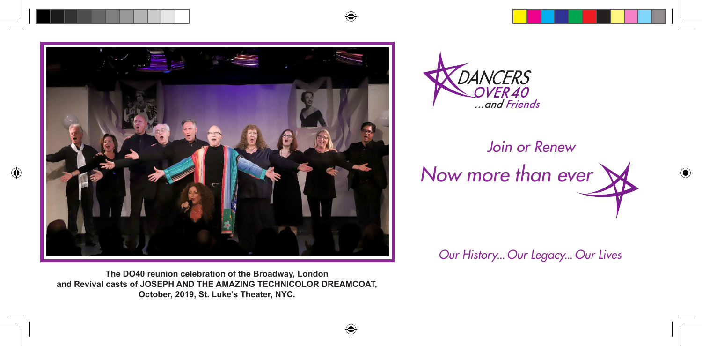



## *Join or Renew Now more than ever*

*Our History... Our Legacy... Our Lives*

**The DO40 reunion celebration of the Broadway, London and Revival casts of JOSEPH AND THE AMAZING TECHNICOLOR DREAMCOAT, October, 2019, St. Luke's Theater, NYC.**